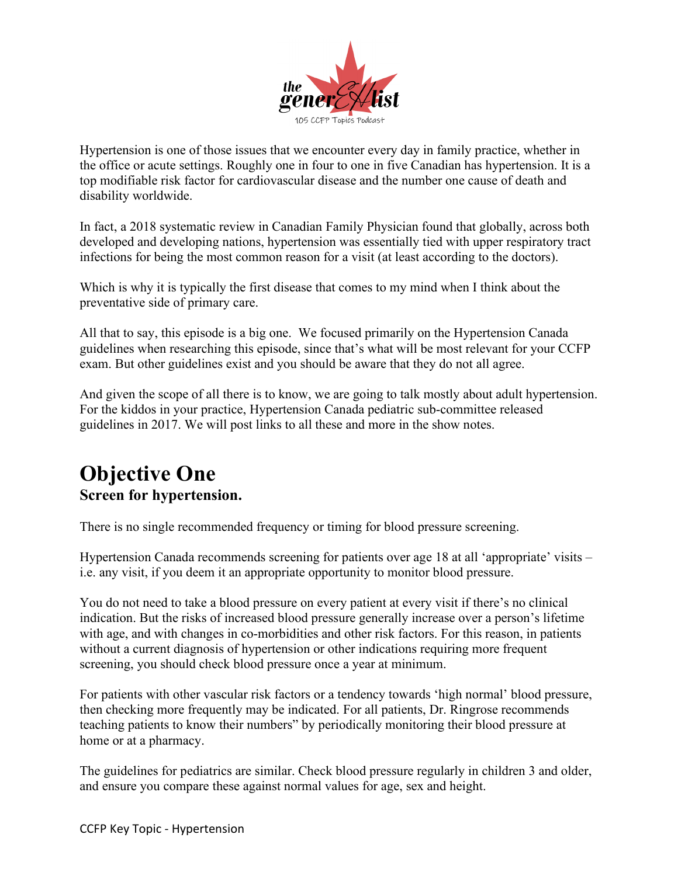

Hypertension is one of those issues that we encounter every day in family practice, whether in the office or acute settings. Roughly one in four to one in five Canadian has hypertension. It is a top modifiable risk factor for cardiovascular disease and the number one cause of death and disability worldwide.

In fact, a 2018 systematic review in Canadian Family Physician found that globally, across both developed and developing nations, hypertension was essentially tied with upper respiratory tract infections for being the most common reason for a visit (at least according to the doctors).

Which is why it is typically the first disease that comes to my mind when I think about the preventative side of primary care.

All that to say, this episode is a big one. We focused primarily on the Hypertension Canada guidelines when researching this episode, since that's what will be most relevant for your CCFP exam. But other guidelines exist and you should be aware that they do not all agree.

And given the scope of all there is to know, we are going to talk mostly about adult hypertension. For the kiddos in your practice, Hypertension Canada pediatric sub-committee released guidelines in 2017. We will post links to all these and more in the show notes.

## **Objective One Screen for hypertension.**

There is no single recommended frequency or timing for blood pressure screening.

Hypertension Canada recommends screening for patients over age 18 at all 'appropriate' visits – i.e. any visit, if you deem it an appropriate opportunity to monitor blood pressure.

You do not need to take a blood pressure on every patient at every visit if there's no clinical indication. But the risks of increased blood pressure generally increase over a person's lifetime with age, and with changes in co-morbidities and other risk factors. For this reason, in patients without a current diagnosis of hypertension or other indications requiring more frequent screening, you should check blood pressure once a year at minimum.

For patients with other vascular risk factors or a tendency towards 'high normal' blood pressure, then checking more frequently may be indicated. For all patients, Dr. Ringrose recommends teaching patients to know their numbers" by periodically monitoring their blood pressure at home or at a pharmacy.

The guidelines for pediatrics are similar. Check blood pressure regularly in children 3 and older, and ensure you compare these against normal values for age, sex and height.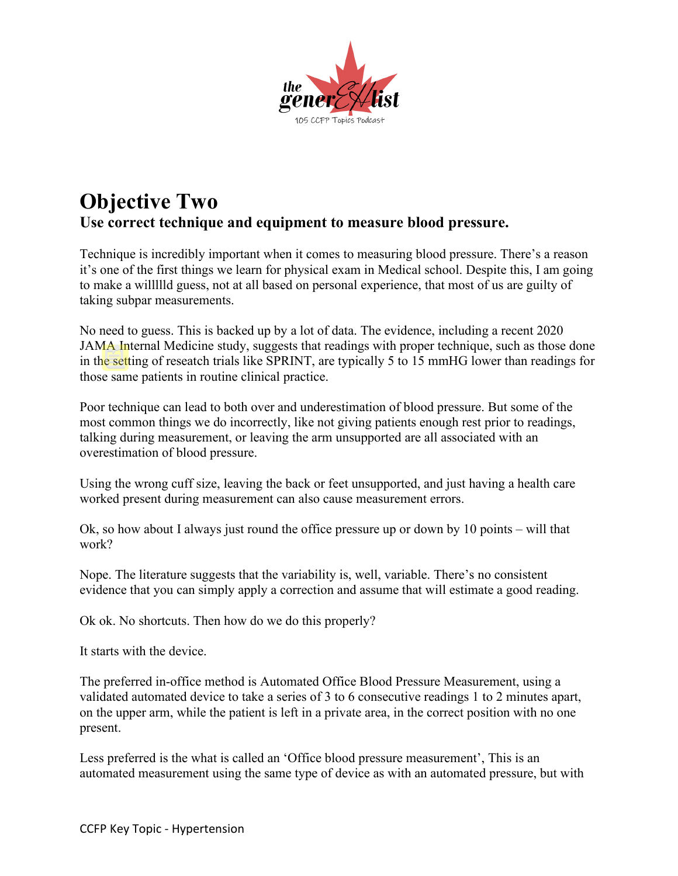

### **Objective Two Use correct technique and equipment to measure blood pressure.**

Technique is incredibly important when it comes to measuring blood pressure. There's a reason it's one of the first things we learn for physical exam in Medical school. Despite this, I am going to make a willllld guess, not at all based on personal experience, that most of us are guilty of taking subpar measurements.

No need to guess. This is backed up by a lot of data. The evidence, including a recent 2020 JAMA Internal Medicine study, suggests that readings with proper technique, such as those done in the setting of reseatch trials like SPRINT, are typically 5 to 15 mmHG lower than readings for those same patients in routine clinical practice.

Poor technique can lead to both over and underestimation of blood pressure. But some of the most common things we do incorrectly, like not giving patients enough rest prior to readings, talking during measurement, or leaving the arm unsupported are all associated with an overestimation of blood pressure.

Using the wrong cuff size, leaving the back or feet unsupported, and just having a health care worked present during measurement can also cause measurement errors.

Ok, so how about I always just round the office pressure up or down by 10 points – will that work?

Nope. The literature suggests that the variability is, well, variable. There's no consistent evidence that you can simply apply a correction and assume that will estimate a good reading.

Ok ok. No shortcuts. Then how do we do this properly?

It starts with the device.

The preferred in-office method is Automated Office Blood Pressure Measurement, using a validated automated device to take a series of 3 to 6 consecutive readings 1 to 2 minutes apart, on the upper arm, while the patient is left in a private area, in the correct position with no one present.

Less preferred is the what is called an 'Office blood pressure measurement', This is an automated measurement using the same type of device as with an automated pressure, but with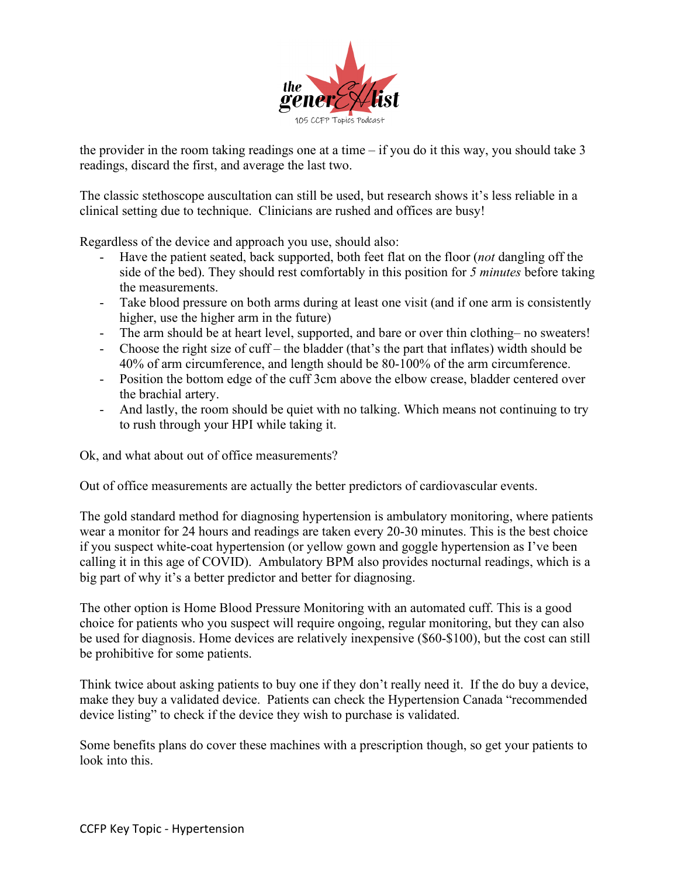

the provider in the room taking readings one at a time  $-$  if you do it this way, you should take 3 readings, discard the first, and average the last two.

The classic stethoscope auscultation can still be used, but research shows it's less reliable in a clinical setting due to technique. Clinicians are rushed and offices are busy!

Regardless of the device and approach you use, should also:

- Have the patient seated, back supported, both feet flat on the floor (*not* dangling off the side of the bed). They should rest comfortably in this position for *5 minutes* before taking the measurements.
- Take blood pressure on both arms during at least one visit (and if one arm is consistently higher, use the higher arm in the future)
- The arm should be at heart level, supported, and bare or over thin clothing– no sweaters!
- Choose the right size of cuff the bladder (that's the part that inflates) width should be 40% of arm circumference, and length should be 80-100% of the arm circumference.
- Position the bottom edge of the cuff 3cm above the elbow crease, bladder centered over the brachial artery.
- And lastly, the room should be quiet with no talking. Which means not continuing to try to rush through your HPI while taking it.

Ok, and what about out of office measurements?

Out of office measurements are actually the better predictors of cardiovascular events.

The gold standard method for diagnosing hypertension is ambulatory monitoring, where patients wear a monitor for 24 hours and readings are taken every 20-30 minutes. This is the best choice if you suspect white-coat hypertension (or yellow gown and goggle hypertension as I've been calling it in this age of COVID). Ambulatory BPM also provides nocturnal readings, which is a big part of why it's a better predictor and better for diagnosing.

The other option is Home Blood Pressure Monitoring with an automated cuff. This is a good choice for patients who you suspect will require ongoing, regular monitoring, but they can also be used for diagnosis. Home devices are relatively inexpensive (\$60-\$100), but the cost can still be prohibitive for some patients.

Think twice about asking patients to buy one if they don't really need it. If the do buy a device, make they buy a validated device. Patients can check the Hypertension Canada "recommended device listing" to check if the device they wish to purchase is validated.

Some benefits plans do cover these machines with a prescription though, so get your patients to look into this.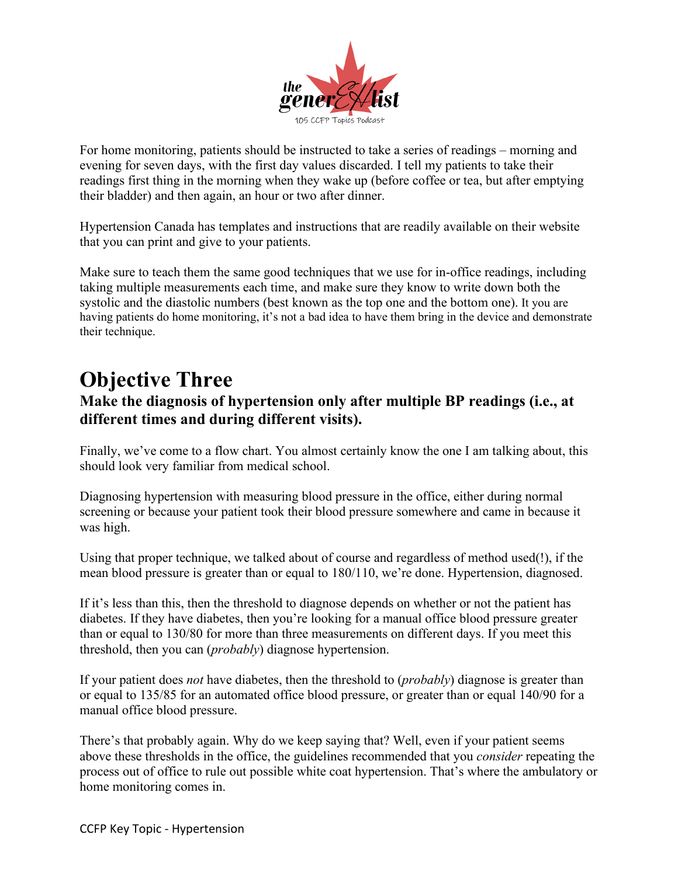

For home monitoring, patients should be instructed to take a series of readings – morning and evening for seven days, with the first day values discarded. I tell my patients to take their readings first thing in the morning when they wake up (before coffee or tea, but after emptying their bladder) and then again, an hour or two after dinner.

Hypertension Canada has templates and instructions that are readily available on their website that you can print and give to your patients.

Make sure to teach them the same good techniques that we use for in-office readings, including taking multiple measurements each time, and make sure they know to write down both the systolic and the diastolic numbers (best known as the top one and the bottom one). It you are having patients do home monitoring, it's not a bad idea to have them bring in the device and demonstrate their technique.

## **Objective Three**

### **Make the diagnosis of hypertension only after multiple BP readings (i.e., at different times and during different visits).**

Finally, we've come to a flow chart. You almost certainly know the one I am talking about, this should look very familiar from medical school.

Diagnosing hypertension with measuring blood pressure in the office, either during normal screening or because your patient took their blood pressure somewhere and came in because it was high.

Using that proper technique, we talked about of course and regardless of method used(!), if the mean blood pressure is greater than or equal to 180/110, we're done. Hypertension, diagnosed.

If it's less than this, then the threshold to diagnose depends on whether or not the patient has diabetes. If they have diabetes, then you're looking for a manual office blood pressure greater than or equal to 130/80 for more than three measurements on different days. If you meet this threshold, then you can (*probably*) diagnose hypertension.

If your patient does *not* have diabetes, then the threshold to (*probably*) diagnose is greater than or equal to 135/85 for an automated office blood pressure, or greater than or equal 140/90 for a manual office blood pressure.

There's that probably again. Why do we keep saying that? Well, even if your patient seems above these thresholds in the office, the guidelines recommended that you *consider* repeating the process out of office to rule out possible white coat hypertension. That's where the ambulatory or home monitoring comes in.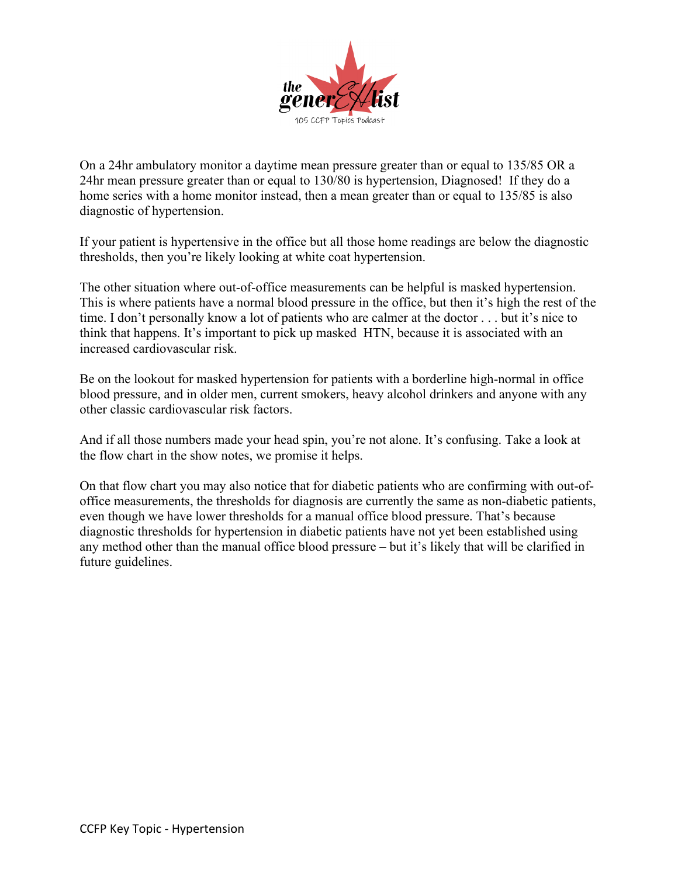

On a 24hr ambulatory monitor a daytime mean pressure greater than or equal to 135/85 OR a 24hr mean pressure greater than or equal to 130/80 is hypertension, Diagnosed! If they do a home series with a home monitor instead, then a mean greater than or equal to 135/85 is also diagnostic of hypertension.

If your patient is hypertensive in the office but all those home readings are below the diagnostic thresholds, then you're likely looking at white coat hypertension.

The other situation where out-of-office measurements can be helpful is masked hypertension. This is where patients have a normal blood pressure in the office, but then it's high the rest of the time. I don't personally know a lot of patients who are calmer at the doctor . . . but it's nice to think that happens. It's important to pick up masked HTN, because it is associated with an increased cardiovascular risk.

Be on the lookout for masked hypertension for patients with a borderline high-normal in office blood pressure, and in older men, current smokers, heavy alcohol drinkers and anyone with any other classic cardiovascular risk factors.

And if all those numbers made your head spin, you're not alone. It's confusing. Take a look at the flow chart in the show notes, we promise it helps.

On that flow chart you may also notice that for diabetic patients who are confirming with out-ofoffice measurements, the thresholds for diagnosis are currently the same as non-diabetic patients, even though we have lower thresholds for a manual office blood pressure. That's because diagnostic thresholds for hypertension in diabetic patients have not yet been established using any method other than the manual office blood pressure – but it's likely that will be clarified in future guidelines.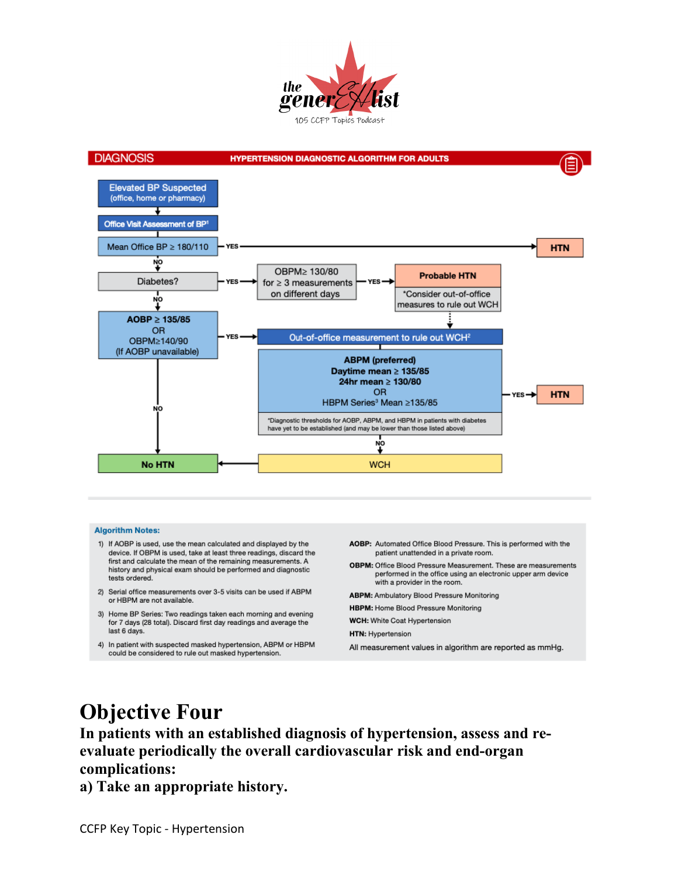



#### **Algorithm Notes:**

- 1) If AOBP is used, use the mean calculated and displayed by the device. If OBPM is used, take at least three readings, discard the first and calculate the mean of the remaining measurements. A history and physical exam should be performed and diagnostic tests ordered.
- 2) Serial office measurements over 3-5 visits can be used if ABPM or HBPM are not available.
- 3) Home BP Series: Two readings taken each morning and evening for 7 days (28 total). Discard first day readings and average the last 6 days.
- 4) In patient with suspected masked hypertension, ABPM or HBPM could be considered to rule out masked hypertension.
- AOBP: Automated Office Blood Pressure. This is performed with the patient unattended in a private room.
- OBPM: Office Blood Pressure Measurement. These are measurements performed in the office using an electronic upper arm device with a provider in the room.
- **ABPM:** Ambulatory Blood Pressure Monitoring
- HBPM: Home Blood Pressure Monitoring
- WCH: White Coat Hypertension
- HTN: Hypertension
- All measurement values in algorithm are reported as mmHg.

# **Objective Four**

**In patients with an established diagnosis of hypertension, assess and reevaluate periodically the overall cardiovascular risk and end-organ complications:**

**a) Take an appropriate history.**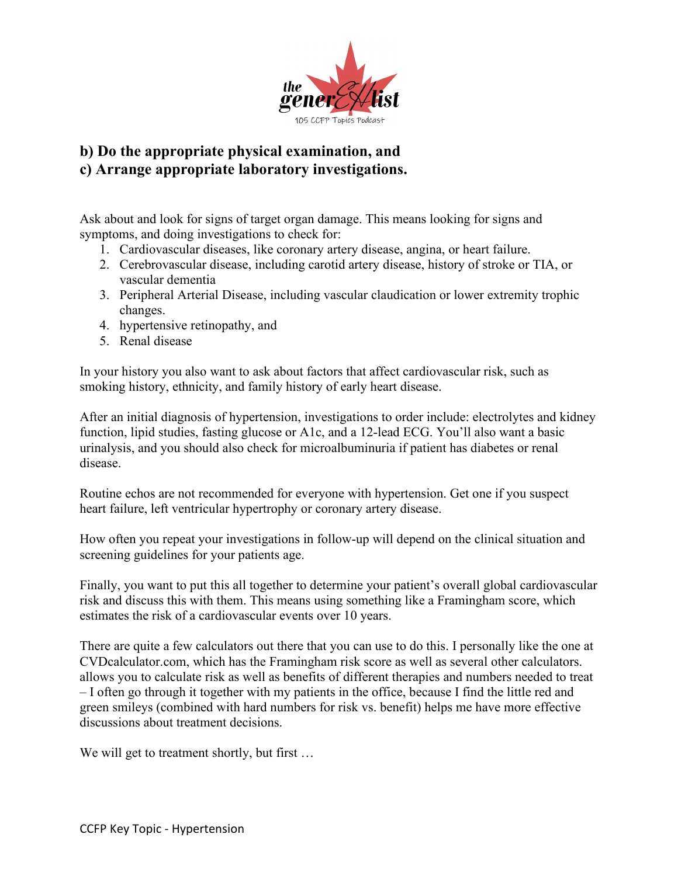

### **b) Do the appropriate physical examination, and c) Arrange appropriate laboratory investigations.**

Ask about and look for signs of target organ damage. This means looking for signs and symptoms, and doing investigations to check for:

- 1. Cardiovascular diseases, like coronary artery disease, angina, or heart failure.
- 2. Cerebrovascular disease, including carotid artery disease, history of stroke or TIA, or vascular dementia
- 3. Peripheral Arterial Disease, including vascular claudication or lower extremity trophic changes.
- 4. hypertensive retinopathy, and
- 5. Renal disease

In your history you also want to ask about factors that affect cardiovascular risk, such as smoking history, ethnicity, and family history of early heart disease.

After an initial diagnosis of hypertension, investigations to order include: electrolytes and kidney function, lipid studies, fasting glucose or A1c, and a 12-lead ECG. You'll also want a basic urinalysis, and you should also check for microalbuminuria if patient has diabetes or renal disease.

Routine echos are not recommended for everyone with hypertension. Get one if you suspect heart failure, left ventricular hypertrophy or coronary artery disease.

How often you repeat your investigations in follow-up will depend on the clinical situation and screening guidelines for your patients age.

Finally, you want to put this all together to determine your patient's overall global cardiovascular risk and discuss this with them. This means using something like a Framingham score, which estimates the risk of a cardiovascular events over 10 years.

There are quite a few calculators out there that you can use to do this. I personally like the one at CVDcalculator.com, which has the Framingham risk score as well as several other calculators. allows you to calculate risk as well as benefits of different therapies and numbers needed to treat – I often go through it together with my patients in the office, because I find the little red and green smileys (combined with hard numbers for risk vs. benefit) helps me have more effective discussions about treatment decisions.

We will get to treatment shortly, but first ...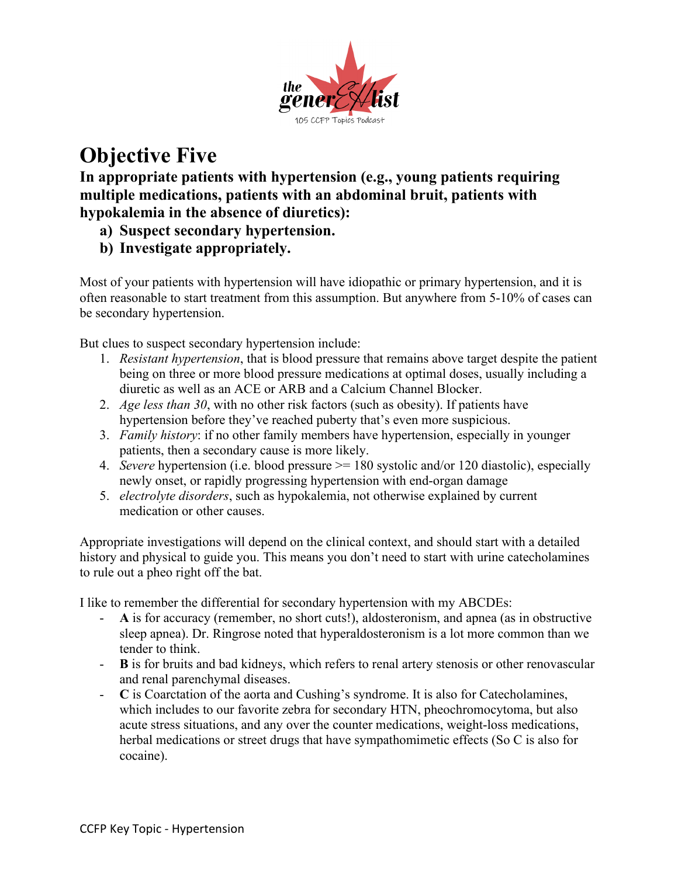

# **Objective Five**

**In appropriate patients with hypertension (e.g., young patients requiring multiple medications, patients with an abdominal bruit, patients with hypokalemia in the absence of diuretics):**

- **a) Suspect secondary hypertension.**
- **b) Investigate appropriately.**

Most of your patients with hypertension will have idiopathic or primary hypertension, and it is often reasonable to start treatment from this assumption. But anywhere from 5-10% of cases can be secondary hypertension.

But clues to suspect secondary hypertension include:

- 1. *Resistant hypertension*, that is blood pressure that remains above target despite the patient being on three or more blood pressure medications at optimal doses, usually including a diuretic as well as an ACE or ARB and a Calcium Channel Blocker.
- 2. *Age less than 30*, with no other risk factors (such as obesity). If patients have hypertension before they've reached puberty that's even more suspicious.
- 3. *Family history*: if no other family members have hypertension, especially in younger patients, then a secondary cause is more likely.
- 4. *Severe* hypertension (i.e. blood pressure >= 180 systolic and/or 120 diastolic), especially newly onset, or rapidly progressing hypertension with end-organ damage
- 5. *electrolyte disorders*, such as hypokalemia, not otherwise explained by current medication or other causes.

Appropriate investigations will depend on the clinical context, and should start with a detailed history and physical to guide you. This means you don't need to start with urine catecholamines to rule out a pheo right off the bat.

I like to remember the differential for secondary hypertension with my ABCDEs:

- **A** is for accuracy (remember, no short cuts!), aldosteronism, and apnea (as in obstructive sleep apnea). Dr. Ringrose noted that hyperaldosteronism is a lot more common than we tender to think.
- **B** is for bruits and bad kidneys, which refers to renal artery stenosis or other renovascular and renal parenchymal diseases.
- **C** is Coarctation of the aorta and Cushing's syndrome. It is also for Catecholamines, which includes to our favorite zebra for secondary HTN, pheochromocytoma, but also acute stress situations, and any over the counter medications, weight-loss medications, herbal medications or street drugs that have sympathomimetic effects (So C is also for cocaine).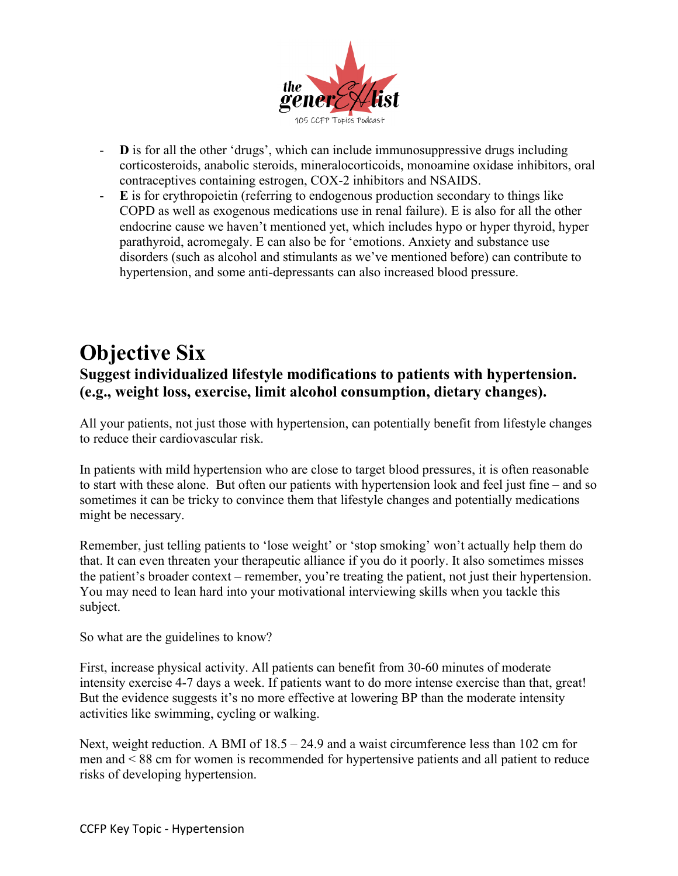

- **D** is for all the other 'drugs', which can include immunosuppressive drugs including corticosteroids, anabolic steroids, mineralocorticoids, monoamine oxidase inhibitors, oral contraceptives containing estrogen, COX-2 inhibitors and NSAIDS.
- **E** is for erythropoietin (referring to endogenous production secondary to things like COPD as well as exogenous medications use in renal failure). E is also for all the other endocrine cause we haven't mentioned yet, which includes hypo or hyper thyroid, hyper parathyroid, acromegaly. E can also be for 'emotions. Anxiety and substance use disorders (such as alcohol and stimulants as we've mentioned before) can contribute to hypertension, and some anti-depressants can also increased blood pressure.

### **Objective Six Suggest individualized lifestyle modifications to patients with hypertension. (e.g., weight loss, exercise, limit alcohol consumption, dietary changes).**

All your patients, not just those with hypertension, can potentially benefit from lifestyle changes to reduce their cardiovascular risk.

In patients with mild hypertension who are close to target blood pressures, it is often reasonable to start with these alone. But often our patients with hypertension look and feel just fine – and so sometimes it can be tricky to convince them that lifestyle changes and potentially medications might be necessary.

Remember, just telling patients to 'lose weight' or 'stop smoking' won't actually help them do that. It can even threaten your therapeutic alliance if you do it poorly. It also sometimes misses the patient's broader context – remember, you're treating the patient, not just their hypertension. You may need to lean hard into your motivational interviewing skills when you tackle this subject.

So what are the guidelines to know?

First, increase physical activity. All patients can benefit from 30-60 minutes of moderate intensity exercise 4-7 days a week. If patients want to do more intense exercise than that, great! But the evidence suggests it's no more effective at lowering BP than the moderate intensity activities like swimming, cycling or walking.

Next, weight reduction. A BMI of 18.5 – 24.9 and a waist circumference less than 102 cm for men and < 88 cm for women is recommended for hypertensive patients and all patient to reduce risks of developing hypertension.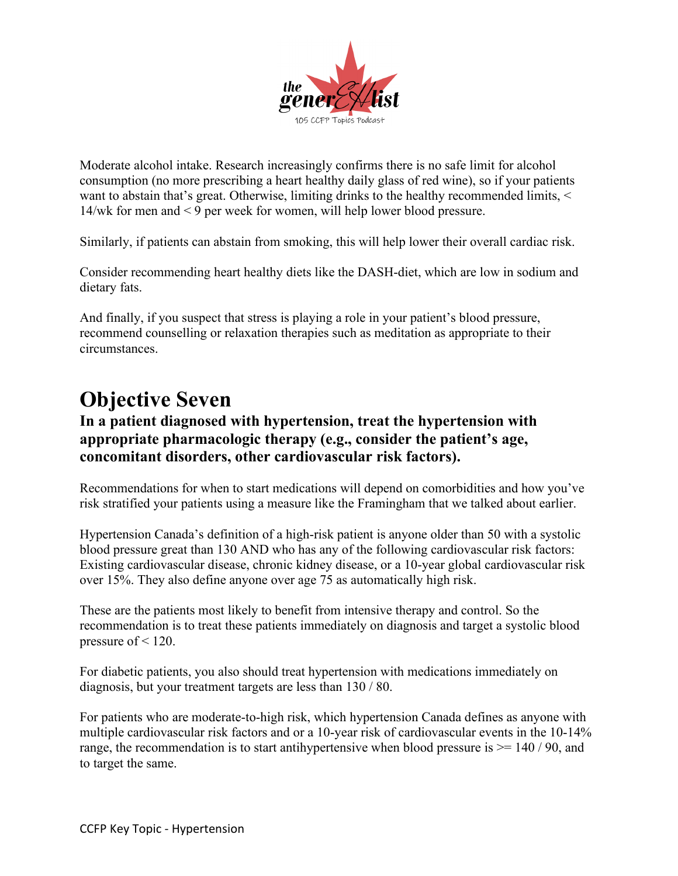

Moderate alcohol intake. Research increasingly confirms there is no safe limit for alcohol consumption (no more prescribing a heart healthy daily glass of red wine), so if your patients want to abstain that's great. Otherwise, limiting drinks to the healthy recommended limits, < 14/wk for men and < 9 per week for women, will help lower blood pressure.

Similarly, if patients can abstain from smoking, this will help lower their overall cardiac risk.

Consider recommending heart healthy diets like the DASH-diet, which are low in sodium and dietary fats.

And finally, if you suspect that stress is playing a role in your patient's blood pressure, recommend counselling or relaxation therapies such as meditation as appropriate to their circumstances.

## **Objective Seven**

#### **In a patient diagnosed with hypertension, treat the hypertension with appropriate pharmacologic therapy (e.g., consider the patient's age, concomitant disorders, other cardiovascular risk factors).**

Recommendations for when to start medications will depend on comorbidities and how you've risk stratified your patients using a measure like the Framingham that we talked about earlier.

Hypertension Canada's definition of a high-risk patient is anyone older than 50 with a systolic blood pressure great than 130 AND who has any of the following cardiovascular risk factors: Existing cardiovascular disease, chronic kidney disease, or a 10-year global cardiovascular risk over 15%. They also define anyone over age 75 as automatically high risk.

These are the patients most likely to benefit from intensive therapy and control. So the recommendation is to treat these patients immediately on diagnosis and target a systolic blood pressure of  $\leq$  120.

For diabetic patients, you also should treat hypertension with medications immediately on diagnosis, but your treatment targets are less than 130 / 80.

For patients who are moderate-to-high risk, which hypertension Canada defines as anyone with multiple cardiovascular risk factors and or a 10-year risk of cardiovascular events in the 10-14% range, the recommendation is to start antihypertensive when blood pressure is  $\geq$  140 / 90, and to target the same.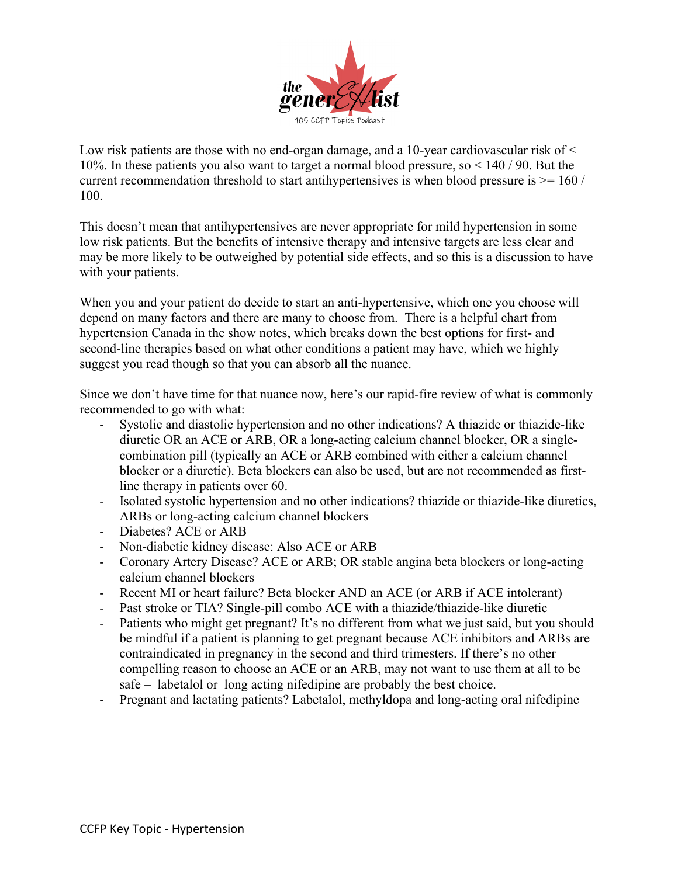

Low risk patients are those with no end-organ damage, and a 10-year cardiovascular risk of  $\leq$ 10%. In these patients you also want to target a normal blood pressure, so < 140 / 90. But the current recommendation threshold to start antihypertensives is when blood pressure is  $> = 160/$ 100.

This doesn't mean that antihypertensives are never appropriate for mild hypertension in some low risk patients. But the benefits of intensive therapy and intensive targets are less clear and may be more likely to be outweighed by potential side effects, and so this is a discussion to have with your patients.

When you and your patient do decide to start an anti-hypertensive, which one you choose will depend on many factors and there are many to choose from. There is a helpful chart from hypertension Canada in the show notes, which breaks down the best options for first- and second-line therapies based on what other conditions a patient may have, which we highly suggest you read though so that you can absorb all the nuance.

Since we don't have time for that nuance now, here's our rapid-fire review of what is commonly recommended to go with what:

- Systolic and diastolic hypertension and no other indications? A thiazide or thiazide-like diuretic OR an ACE or ARB, OR a long-acting calcium channel blocker, OR a singlecombination pill (typically an ACE or ARB combined with either a calcium channel blocker or a diuretic). Beta blockers can also be used, but are not recommended as firstline therapy in patients over 60.
- Isolated systolic hypertension and no other indications? thiazide or thiazide-like diuretics, ARBs or long-acting calcium channel blockers
- Diabetes? ACE or ARB
- Non-diabetic kidney disease: Also ACE or ARB
- Coronary Artery Disease? ACE or ARB; OR stable angina beta blockers or long-acting calcium channel blockers
- Recent MI or heart failure? Beta blocker AND an ACE (or ARB if ACE intolerant)
- Past stroke or TIA? Single-pill combo ACE with a thiazide/thiazide-like diuretic
- Patients who might get pregnant? It's no different from what we just said, but you should be mindful if a patient is planning to get pregnant because ACE inhibitors and ARBs are contraindicated in pregnancy in the second and third trimesters. If there's no other compelling reason to choose an ACE or an ARB, may not want to use them at all to be safe – labetalol or long acting nifedipine are probably the best choice.
- Pregnant and lactating patients? Labetalol, methyldopa and long-acting oral nifedipine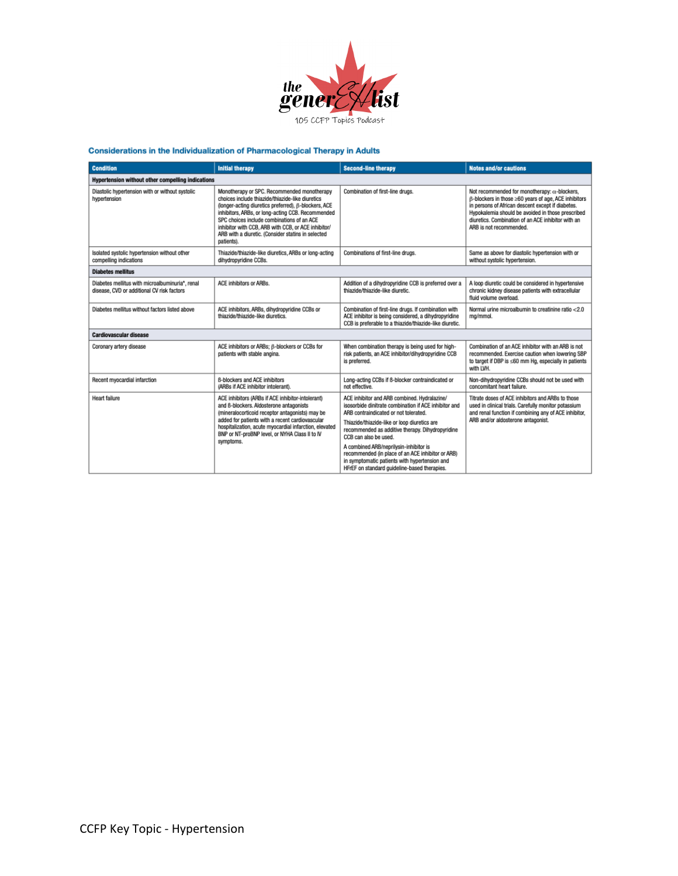

#### **Considerations in the Individualization of Pharmacological Therapy in Adults**

| <b>Condition</b>                                                                              | <b>Initial therapy</b>                                                                                                                                                                                                                                                                                                                                                                | <b>Second-line therapy</b>                                                                                                                                                                                                                                                                                                                                                                                                                                                  | <b>Notes and/or cautions</b>                                                                                                                                                                                                                                                                            |  |  |
|-----------------------------------------------------------------------------------------------|---------------------------------------------------------------------------------------------------------------------------------------------------------------------------------------------------------------------------------------------------------------------------------------------------------------------------------------------------------------------------------------|-----------------------------------------------------------------------------------------------------------------------------------------------------------------------------------------------------------------------------------------------------------------------------------------------------------------------------------------------------------------------------------------------------------------------------------------------------------------------------|---------------------------------------------------------------------------------------------------------------------------------------------------------------------------------------------------------------------------------------------------------------------------------------------------------|--|--|
| Hypertension without other compelling indications                                             |                                                                                                                                                                                                                                                                                                                                                                                       |                                                                                                                                                                                                                                                                                                                                                                                                                                                                             |                                                                                                                                                                                                                                                                                                         |  |  |
| Diastolic hypertension with or without systolic<br>hypertension                               | Monotherapy or SPC. Recommended monotherapy<br>choices include thiazide/thiazide-like diuretics<br>(longer-acting diuretics preferred), B-blockers, ACE<br>inhibitors, ARBs, or long-acting CCB. Recommended<br>SPC choices include combinations of an ACE<br>inhibitor with CCB, ARB with CCB, or ACE inhibitor/<br>ARB with a diuretic. (Consider statins in selected<br>patients). | Combination of first-line drugs.                                                                                                                                                                                                                                                                                                                                                                                                                                            | Not recommended for monotherapy: $\alpha$ -blockers,<br>ß-blockers in those ≥60 years of age, ACE inhibitors<br>in persons of African descent except if diabetes.<br>Hypokalemia should be avoided in those prescribed<br>diuretics. Combination of an ACE inhibitor with an<br>ARB is not recommended. |  |  |
| Isolated systolic hypertension without other<br>compelling indications                        | Thiazide/thiazide-like diuretics, ARBs or long-acting<br>dihydropyridine CCBs.                                                                                                                                                                                                                                                                                                        | Combinations of first-line drugs.                                                                                                                                                                                                                                                                                                                                                                                                                                           | Same as above for diastolic hypertension with or<br>without systolic hypertension.                                                                                                                                                                                                                      |  |  |
| <b>Diabetes mellitus</b>                                                                      |                                                                                                                                                                                                                                                                                                                                                                                       |                                                                                                                                                                                                                                                                                                                                                                                                                                                                             |                                                                                                                                                                                                                                                                                                         |  |  |
| Diabetes mellitus with microalbuminuria*, renal<br>disease, CVD or additional CV risk factors | ACE inhibitors or ARBs.                                                                                                                                                                                                                                                                                                                                                               | Addition of a dihydropyridine CCB is preferred over a<br>thiazide/thiazide-like diuretic.                                                                                                                                                                                                                                                                                                                                                                                   | A loop diuretic could be considered in hypertensive<br>chronic kidney disease patients with extracellular<br>fluid volume overload.                                                                                                                                                                     |  |  |
| Diabetes mellitus without factors listed above                                                | ACE inhibitors, ARBs, dihvdropyridine CCBs or<br>thiazide/thiazide-like diuretics.                                                                                                                                                                                                                                                                                                    | Combination of first-line drugs, if combination with<br>ACE inhibitor is being considered, a dihydropyridine<br>CCB is preferable to a thiazide/thiazide-like diuretic.                                                                                                                                                                                                                                                                                                     | Normal urine microalbumin to creatinine ratio <2.0<br>ma/mmol.                                                                                                                                                                                                                                          |  |  |
| <b>Cardiovascular disease</b>                                                                 |                                                                                                                                                                                                                                                                                                                                                                                       |                                                                                                                                                                                                                                                                                                                                                                                                                                                                             |                                                                                                                                                                                                                                                                                                         |  |  |
| Coronary artery disease                                                                       | ACE inhibitors or ARBs; ß-blockers or CCBs for<br>patients with stable angina.                                                                                                                                                                                                                                                                                                        | When combination therapy is being used for high-<br>risk patients, an ACE inhibitor/dihydropyridine CCB<br>is preferred.                                                                                                                                                                                                                                                                                                                                                    | Combination of an ACE inhibitor with an ARB is not<br>recommended. Exercise caution when lowering SBP<br>to target if DBP is ≤60 mm Hg, especially in patients<br>with LVH.                                                                                                                             |  |  |
| Recent myocardial infarction                                                                  | 6-blockers and ACE inhibitors<br>(ARBs if ACE inhibitor intolerant).                                                                                                                                                                                                                                                                                                                  | Long-acting CCBs if 6-blocker contraindicated or<br>not effective.                                                                                                                                                                                                                                                                                                                                                                                                          | Non-dihydropyridine CCBs should not be used with<br>concomitant heart failure.                                                                                                                                                                                                                          |  |  |
| <b>Heart failure</b>                                                                          | ACE inhibitors (ARBs if ACE inhibitor-intolerant)<br>and B-blockers. Aldosterone antagonists<br>(mineralocorticoid receptor antagonists) may be<br>added for patients with a recent cardiovascular<br>hospitalization, acute myocardial infarction, elevated<br>BNP or NT-proBNP level, or NYHA Class II to IV<br>symptoms.                                                           | ACE inhibitor and ARB combined. Hydralazine/<br>isosorbide dinitrate combination if ACE inhibitor and<br>ARB contraindicated or not tolerated.<br>Thiazide/thiazide-like or loop diuretics are<br>recommended as additive therapy. Dihydropyridine<br>CCB can also be used.<br>A combined ARB/neprilysin-inhibitor is<br>recommended (in place of an ACE inhibitor or ARB)<br>in symptomatic patients with hypertension and<br>HFrEF on standard guideline-based therapies. | Titrate doses of ACE inhibitors and ARBs to those<br>used in clinical trials. Carefully monitor potassium<br>and renal function if combining any of ACE inhibitor.<br>ARB and/or aldosterone antagonist.                                                                                                |  |  |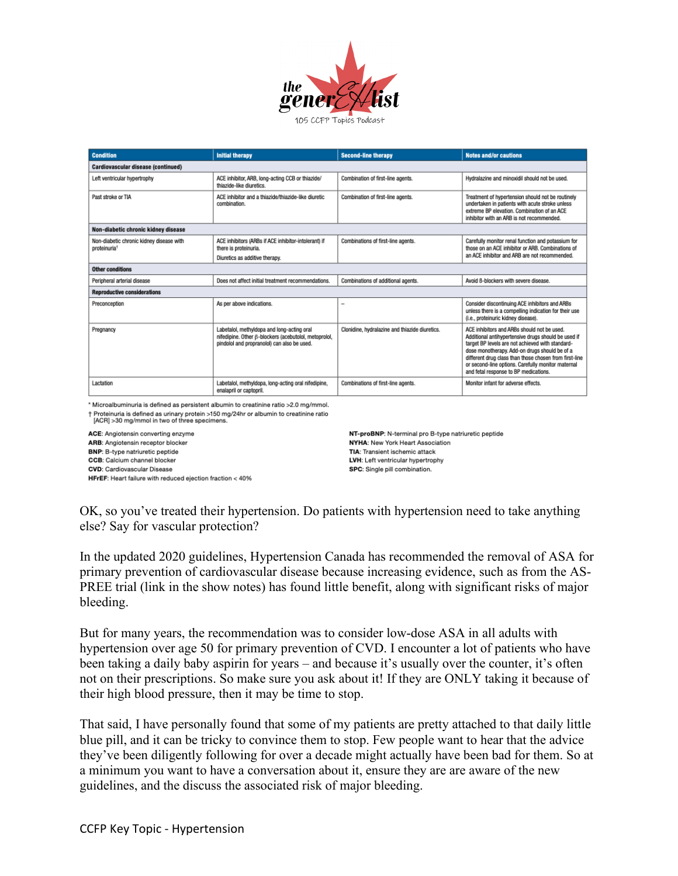

| <b>Condition</b>                                                     | <b>Initial therapy</b>                                                                                                                             | <b>Second-line therapy</b>                     | <b>Notes and/or cautions</b>                                                                                                                                                                                                                                                                                                                                     |  |
|----------------------------------------------------------------------|----------------------------------------------------------------------------------------------------------------------------------------------------|------------------------------------------------|------------------------------------------------------------------------------------------------------------------------------------------------------------------------------------------------------------------------------------------------------------------------------------------------------------------------------------------------------------------|--|
| Cardiovascular disease (continued)                                   |                                                                                                                                                    |                                                |                                                                                                                                                                                                                                                                                                                                                                  |  |
| Left ventricular hypertrophy                                         | ACE inhibitor, ARB, long-acting CCB or thiazide/<br>thiazide-like diuretics.                                                                       | Combination of first-line agents.              | Hydralazine and minoxidil should not be used.                                                                                                                                                                                                                                                                                                                    |  |
| Past stroke or TIA                                                   | ACE inhibitor and a thiazide/thiazide-like diuretic<br>combination.                                                                                | Combination of first-line agents.              | Treatment of hypertension should not be routinely<br>undertaken in patients with acute stroke unless<br>extreme BP elevation. Combination of an ACE<br>inhibitor with an ARB is not recommended.                                                                                                                                                                 |  |
| Non-diabetic chronic kidney disease                                  |                                                                                                                                                    |                                                |                                                                                                                                                                                                                                                                                                                                                                  |  |
| Non-diabetic chronic kidney disease with<br>proteinuria <sup>+</sup> | ACE inhibitors (ARBs if ACE inhibitor-intolerant) if<br>there is proteinuria.                                                                      | Combinations of first-line agents.             | Carefully monitor renal function and potassium for<br>those on an ACE inhibitor or ARB. Combinations of                                                                                                                                                                                                                                                          |  |
|                                                                      | Diuretics as additive therapy.                                                                                                                     |                                                | an ACE inhibitor and ARB are not recommended.                                                                                                                                                                                                                                                                                                                    |  |
| <b>Other conditions</b>                                              |                                                                                                                                                    |                                                |                                                                                                                                                                                                                                                                                                                                                                  |  |
| Peripheral arterial disease                                          | Does not affect initial treatment recommendations.                                                                                                 | Combinations of additional agents.             | Avoid 6-blockers with severe disease.                                                                                                                                                                                                                                                                                                                            |  |
| <b>Reproductive considerations</b>                                   |                                                                                                                                                    |                                                |                                                                                                                                                                                                                                                                                                                                                                  |  |
| Preconception                                                        | As per above indications.                                                                                                                          | $\overline{\phantom{a}}$                       | Consider discontinuing ACE inhibitors and ARBs<br>unless there is a compelling indication for their use<br>(i.e., proteinuric kidney disease).                                                                                                                                                                                                                   |  |
| Pregnancy                                                            | Labetalol, methyldopa and long-acting oral<br>nifedipine. Other ß-blockers (acebutolol, metoprolol,<br>pindolol and propranolol) can also be used. | Clonidine, hydralazine and thiazide diuretics. | ACE inhibitors and ARBs should not be used.<br>Additional antihypertensive drugs should be used if<br>target BP levels are not achieved with standard-<br>dose monotherapy. Add-on drugs should be of a<br>different drug class than those chosen from first-line<br>or second-line options. Carefully monitor maternal<br>and fetal response to BP medications. |  |
| Lactation                                                            | Labetalol, methyldopa, long-acting oral nifedipine,<br>enalapril or captopril.                                                                     | Combinations of first-line agents.             | Monitor infant for adverse effects.                                                                                                                                                                                                                                                                                                                              |  |

\* Microalbuminuria is defined as persistent albumin to creatinine ratio >2.0 mg/mmol. † Proteinuria is defined as urinary protein >150 mg/24hr or albumin to creatinine ratio<br>[ACR] >30 mg/mmol in two of three specimens.

ACE: Angiotensin converting enzyme

ARB: Angiotensin receptor blocker

BNP: B-type natriuretic peptide

**CCB:** Calcium channel blocker

**CVD:** Cardiovascular Disease

HFrEF: Heart failure with reduced ejection fraction < 40%

NT-proBNP: N-terminal pro B-type natriuretic peptide NYHA: New York Heart Association TIA: Transient ischemic attack LVH: Left ventricular hypertrophy SPC: Single pill combination.

OK, so you've treated their hypertension. Do patients with hypertension need to take anything else? Say for vascular protection?

In the updated 2020 guidelines, Hypertension Canada has recommended the removal of ASA for primary prevention of cardiovascular disease because increasing evidence, such as from the AS-PREE trial (link in the show notes) has found little benefit, along with significant risks of major bleeding.

But for many years, the recommendation was to consider low-dose ASA in all adults with hypertension over age 50 for primary prevention of CVD. I encounter a lot of patients who have been taking a daily baby aspirin for years – and because it's usually over the counter, it's often not on their prescriptions. So make sure you ask about it! If they are ONLY taking it because of their high blood pressure, then it may be time to stop.

That said, I have personally found that some of my patients are pretty attached to that daily little blue pill, and it can be tricky to convince them to stop. Few people want to hear that the advice they've been diligently following for over a decade might actually have been bad for them. So at a minimum you want to have a conversation about it, ensure they are are aware of the new guidelines, and the discuss the associated risk of major bleeding.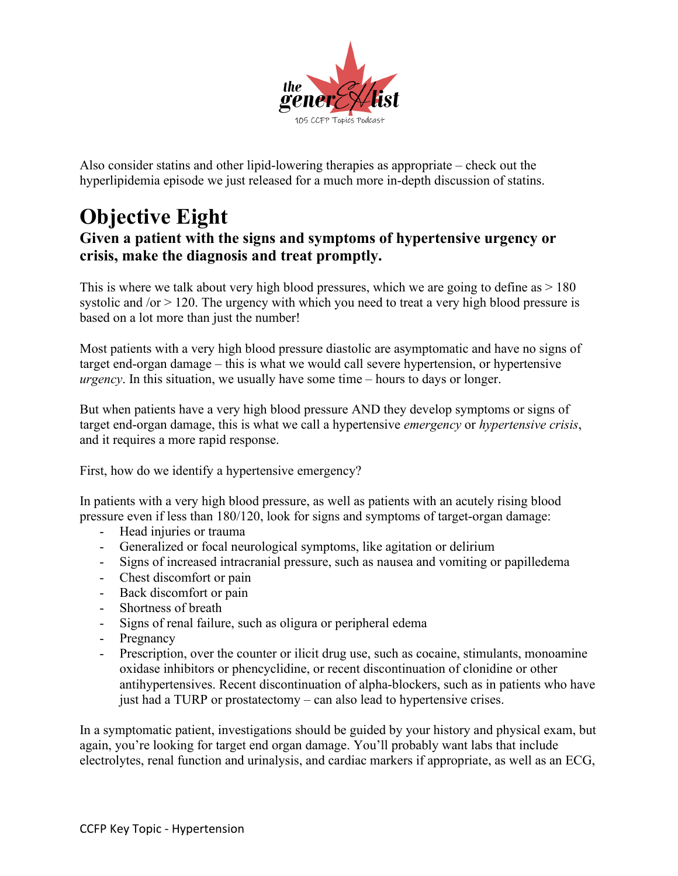

Also consider statins and other lipid-lowering therapies as appropriate – check out the hyperlipidemia episode we just released for a much more in-depth discussion of statins.

# **Objective Eight**

### **Given a patient with the signs and symptoms of hypertensive urgency or crisis, make the diagnosis and treat promptly.**

This is where we talk about very high blood pressures, which we are going to define as  $> 180$ systolic and /or > 120. The urgency with which you need to treat a very high blood pressure is based on a lot more than just the number!

Most patients with a very high blood pressure diastolic are asymptomatic and have no signs of target end-organ damage – this is what we would call severe hypertension, or hypertensive *urgency*. In this situation, we usually have some time – hours to days or longer.

But when patients have a very high blood pressure AND they develop symptoms or signs of target end-organ damage, this is what we call a hypertensive *emergency* or *hypertensive crisis*, and it requires a more rapid response.

First, how do we identify a hypertensive emergency?

In patients with a very high blood pressure, as well as patients with an acutely rising blood pressure even if less than 180/120, look for signs and symptoms of target-organ damage:

- Head injuries or trauma
- Generalized or focal neurological symptoms, like agitation or delirium
- Signs of increased intracranial pressure, such as nausea and vomiting or papilledema
- Chest discomfort or pain
- Back discomfort or pain
- Shortness of breath
- Signs of renal failure, such as oligura or peripheral edema
- Pregnancy
- Prescription, over the counter or ilicit drug use, such as cocaine, stimulants, monoamine oxidase inhibitors or phencyclidine, or recent discontinuation of clonidine or other antihypertensives. Recent discontinuation of alpha-blockers, such as in patients who have just had a TURP or prostatectomy – can also lead to hypertensive crises.

In a symptomatic patient, investigations should be guided by your history and physical exam, but again, you're looking for target end organ damage. You'll probably want labs that include electrolytes, renal function and urinalysis, and cardiac markers if appropriate, as well as an ECG,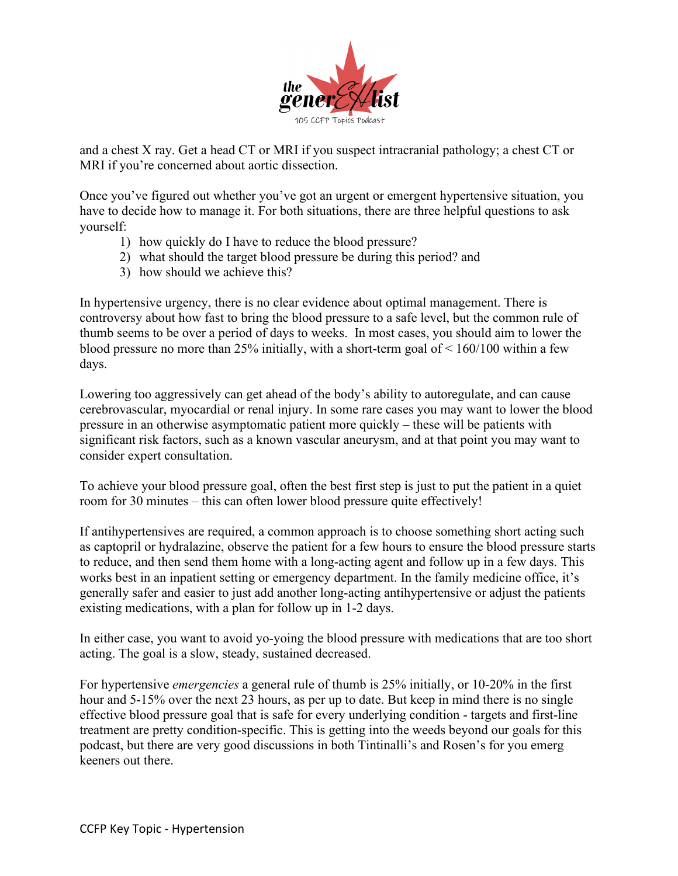

and a chest X ray. Get a head CT or MRI if you suspect intracranial pathology; a chest CT or MRI if you're concerned about aortic dissection.

Once you've figured out whether you've got an urgent or emergent hypertensive situation, you have to decide how to manage it. For both situations, there are three helpful questions to ask yourself:

- 1) how quickly do I have to reduce the blood pressure?
- 2) what should the target blood pressure be during this period? and
- 3) how should we achieve this?

In hypertensive urgency, there is no clear evidence about optimal management. There is controversy about how fast to bring the blood pressure to a safe level, but the common rule of thumb seems to be over a period of days to weeks. In most cases, you should aim to lower the blood pressure no more than 25% initially, with a short-term goal of  $\leq 160/100$  within a few days.

Lowering too aggressively can get ahead of the body's ability to autoregulate, and can cause cerebrovascular, myocardial or renal injury. In some rare cases you may want to lower the blood pressure in an otherwise asymptomatic patient more quickly – these will be patients with significant risk factors, such as a known vascular aneurysm, and at that point you may want to consider expert consultation.

To achieve your blood pressure goal, often the best first step is just to put the patient in a quiet room for 30 minutes – this can often lower blood pressure quite effectively!

If antihypertensives are required, a common approach is to choose something short acting such as captopril or hydralazine, observe the patient for a few hours to ensure the blood pressure starts to reduce, and then send them home with a long-acting agent and follow up in a few days. This works best in an inpatient setting or emergency department. In the family medicine office, it's generally safer and easier to just add another long-acting antihypertensive or adjust the patients existing medications, with a plan for follow up in 1-2 days.

In either case, you want to avoid yo-yoing the blood pressure with medications that are too short acting. The goal is a slow, steady, sustained decreased.

For hypertensive *emergencies* a general rule of thumb is 25% initially, or 10-20% in the first hour and 5-15% over the next 23 hours, as per up to date. But keep in mind there is no single effective blood pressure goal that is safe for every underlying condition - targets and first-line treatment are pretty condition-specific. This is getting into the weeds beyond our goals for this podcast, but there are very good discussions in both Tintinalli's and Rosen's for you emerg keeners out there.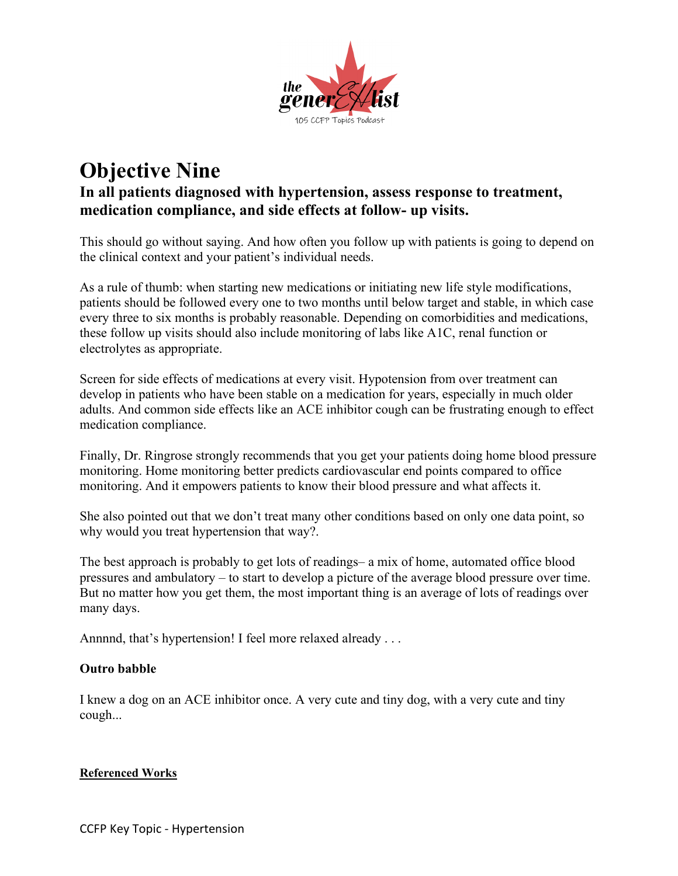

### **Objective Nine In all patients diagnosed with hypertension, assess response to treatment, medication compliance, and side effects at follow- up visits.**

This should go without saying. And how often you follow up with patients is going to depend on the clinical context and your patient's individual needs.

As a rule of thumb: when starting new medications or initiating new life style modifications, patients should be followed every one to two months until below target and stable, in which case every three to six months is probably reasonable. Depending on comorbidities and medications, these follow up visits should also include monitoring of labs like A1C, renal function or electrolytes as appropriate.

Screen for side effects of medications at every visit. Hypotension from over treatment can develop in patients who have been stable on a medication for years, especially in much older adults. And common side effects like an ACE inhibitor cough can be frustrating enough to effect medication compliance.

Finally, Dr. Ringrose strongly recommends that you get your patients doing home blood pressure monitoring. Home monitoring better predicts cardiovascular end points compared to office monitoring. And it empowers patients to know their blood pressure and what affects it.

She also pointed out that we don't treat many other conditions based on only one data point, so why would you treat hypertension that way?.

The best approach is probably to get lots of readings– a mix of home, automated office blood pressures and ambulatory – to start to develop a picture of the average blood pressure over time. But no matter how you get them, the most important thing is an average of lots of readings over many days.

Annnnd, that's hypertension! I feel more relaxed already . . .

#### **Outro babble**

I knew a dog on an ACE inhibitor once. A very cute and tiny dog, with a very cute and tiny cough...

#### **Referenced Works**